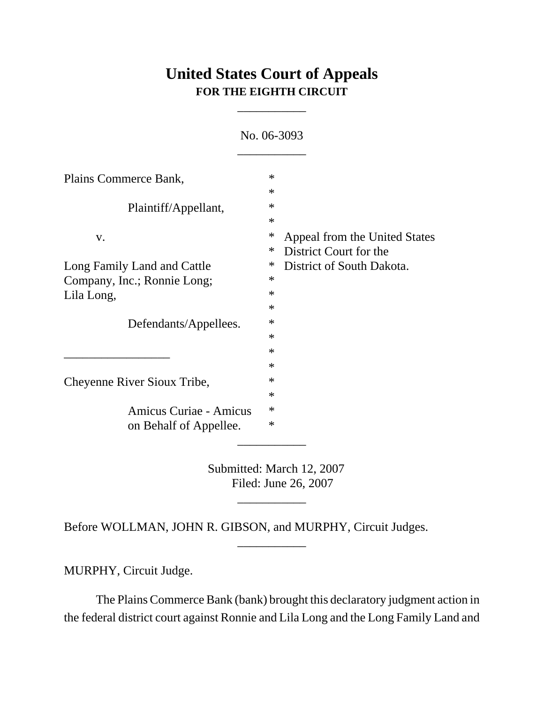# **United States Court of Appeals FOR THE EIGHTH CIRCUIT**

\_\_\_\_\_\_\_\_\_\_\_

|                             | <u>190. UU-JUZJ</u> |                               |
|-----------------------------|---------------------|-------------------------------|
|                             |                     |                               |
| Plains Commerce Bank,       | $\ast$              |                               |
|                             | $\ast$              |                               |
| Plaintiff/Appellant,        | $\ast$              |                               |
|                             | $\ast$              |                               |
| V.                          | $\ast$              | Appeal from the United States |
|                             | $\ast$              | District Court for the        |
| Long Family Land and Cattle | ∗                   | District of South Dakota.     |
| Company, Inc.; Ronnie Long; | $\ast$              |                               |
| Lila Long,                  | $\ast$              |                               |
|                             | $\ast$              |                               |
| Defendants/Appellees.       | $\ast$              |                               |
|                             | $\ast$              |                               |
|                             | $\ast$              |                               |
|                             | $\ast$              |                               |
| Cheyenne River Sioux Tribe, | $\ast$              |                               |
|                             | $\ast$              |                               |
| Amicus Curiae - Amicus      | $\ast$              |                               |
| on Behalf of Appellee.      | $\ast$              |                               |
|                             |                     |                               |

No. 06-3093

Submitted: March 12, 2007 Filed: June 26, 2007

\_\_\_\_\_\_\_\_\_\_\_

\_\_\_\_\_\_\_\_\_\_\_

Before WOLLMAN, JOHN R. GIBSON, and MURPHY, Circuit Judges.

MURPHY, Circuit Judge.

The Plains Commerce Bank (bank) brought this declaratory judgment action in the federal district court against Ronnie and Lila Long and the Long Family Land and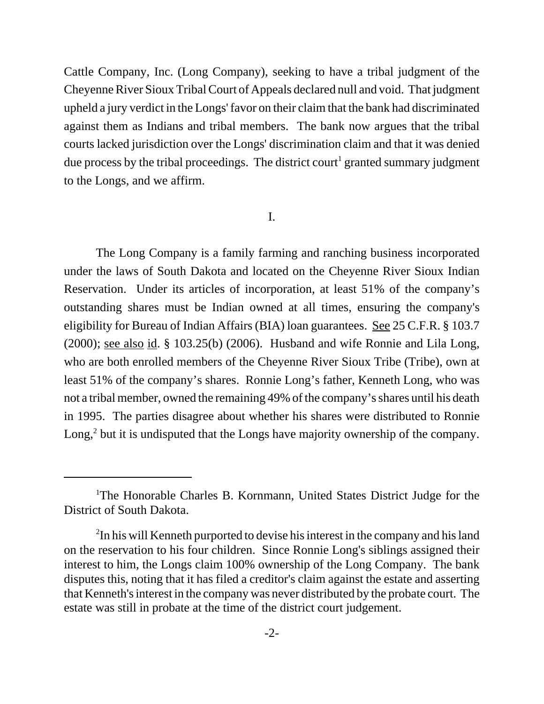Cattle Company, Inc. (Long Company), seeking to have a tribal judgment of the Cheyenne River Sioux Tribal Court of Appeals declared null and void. That judgment upheld a jury verdict in the Longs' favor on their claim that the bank had discriminated against them as Indians and tribal members. The bank now argues that the tribal courts lacked jurisdiction over the Longs' discrimination claim and that it was denied due process by the tribal proceedings. The district court<sup>1</sup> granted summary judgment to the Longs, and we affirm.

### I.

The Long Company is a family farming and ranching business incorporated under the laws of South Dakota and located on the Cheyenne River Sioux Indian Reservation. Under its articles of incorporation, at least 51% of the company's outstanding shares must be Indian owned at all times, ensuring the company's eligibility for Bureau of Indian Affairs (BIA) loan guarantees. See 25 C.F.R. § 103.7 (2000); see also id. § 103.25(b) (2006). Husband and wife Ronnie and Lila Long, who are both enrolled members of the Cheyenne River Sioux Tribe (Tribe), own at least 51% of the company's shares. Ronnie Long's father, Kenneth Long, who was not a tribal member, owned the remaining 49% of the company's shares until his death in 1995. The parties disagree about whether his shares were distributed to Ronnie Long, $<sup>2</sup>$  but it is undisputed that the Longs have majority ownership of the company.</sup>

<sup>&</sup>lt;sup>1</sup>The Honorable Charles B. Kornmann, United States District Judge for the District of South Dakota.

<sup>&</sup>lt;sup>2</sup>In his will Kenneth purported to devise his interest in the company and his land on the reservation to his four children. Since Ronnie Long's siblings assigned their interest to him, the Longs claim 100% ownership of the Long Company. The bank disputes this, noting that it has filed a creditor's claim against the estate and asserting that Kenneth's interest in the company was never distributed by the probate court. The estate was still in probate at the time of the district court judgement.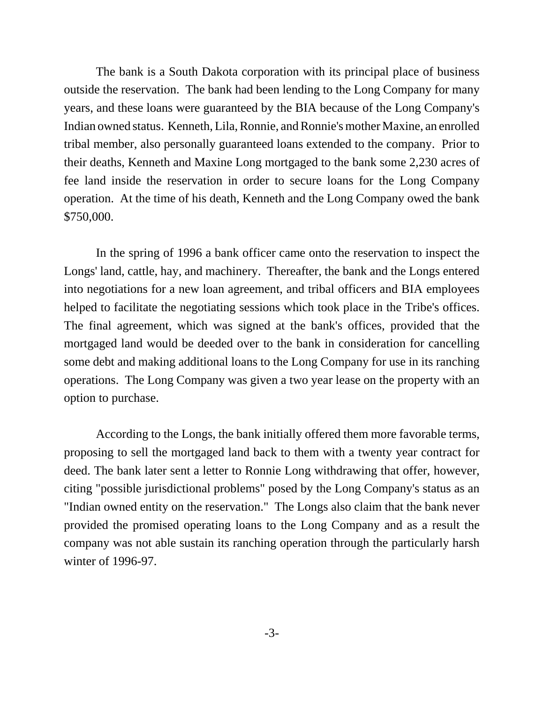The bank is a South Dakota corporation with its principal place of business outside the reservation. The bank had been lending to the Long Company for many years, and these loans were guaranteed by the BIA because of the Long Company's Indian owned status. Kenneth, Lila, Ronnie, and Ronnie's mother Maxine, an enrolled tribal member, also personally guaranteed loans extended to the company. Prior to their deaths, Kenneth and Maxine Long mortgaged to the bank some 2,230 acres of fee land inside the reservation in order to secure loans for the Long Company operation. At the time of his death, Kenneth and the Long Company owed the bank \$750,000.

In the spring of 1996 a bank officer came onto the reservation to inspect the Longs' land, cattle, hay, and machinery. Thereafter, the bank and the Longs entered into negotiations for a new loan agreement, and tribal officers and BIA employees helped to facilitate the negotiating sessions which took place in the Tribe's offices. The final agreement, which was signed at the bank's offices, provided that the mortgaged land would be deeded over to the bank in consideration for cancelling some debt and making additional loans to the Long Company for use in its ranching operations. The Long Company was given a two year lease on the property with an option to purchase.

According to the Longs, the bank initially offered them more favorable terms, proposing to sell the mortgaged land back to them with a twenty year contract for deed. The bank later sent a letter to Ronnie Long withdrawing that offer, however, citing "possible jurisdictional problems" posed by the Long Company's status as an "Indian owned entity on the reservation." The Longs also claim that the bank never provided the promised operating loans to the Long Company and as a result the company was not able sustain its ranching operation through the particularly harsh winter of 1996-97.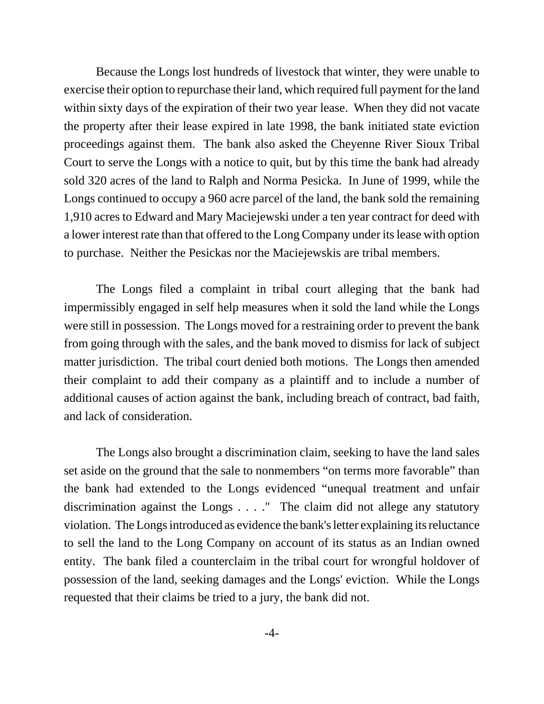Because the Longs lost hundreds of livestock that winter, they were unable to exercise their option to repurchase their land, which required full payment for the land within sixty days of the expiration of their two year lease. When they did not vacate the property after their lease expired in late 1998, the bank initiated state eviction proceedings against them. The bank also asked the Cheyenne River Sioux Tribal Court to serve the Longs with a notice to quit, but by this time the bank had already sold 320 acres of the land to Ralph and Norma Pesicka. In June of 1999, while the Longs continued to occupy a 960 acre parcel of the land, the bank sold the remaining 1,910 acres to Edward and Mary Maciejewski under a ten year contract for deed with a lower interest rate than that offered to the Long Company under its lease with option to purchase. Neither the Pesickas nor the Maciejewskis are tribal members.

The Longs filed a complaint in tribal court alleging that the bank had impermissibly engaged in self help measures when it sold the land while the Longs were still in possession. The Longs moved for a restraining order to prevent the bank from going through with the sales, and the bank moved to dismiss for lack of subject matter jurisdiction. The tribal court denied both motions. The Longs then amended their complaint to add their company as a plaintiff and to include a number of additional causes of action against the bank, including breach of contract, bad faith, and lack of consideration.

The Longs also brought a discrimination claim, seeking to have the land sales set aside on the ground that the sale to nonmembers "on terms more favorable" than the bank had extended to the Longs evidenced "unequal treatment and unfair discrimination against the Longs . . . ." The claim did not allege any statutory violation. The Longs introduced as evidence the bank's letter explaining its reluctance to sell the land to the Long Company on account of its status as an Indian owned entity. The bank filed a counterclaim in the tribal court for wrongful holdover of possession of the land, seeking damages and the Longs' eviction. While the Longs requested that their claims be tried to a jury, the bank did not.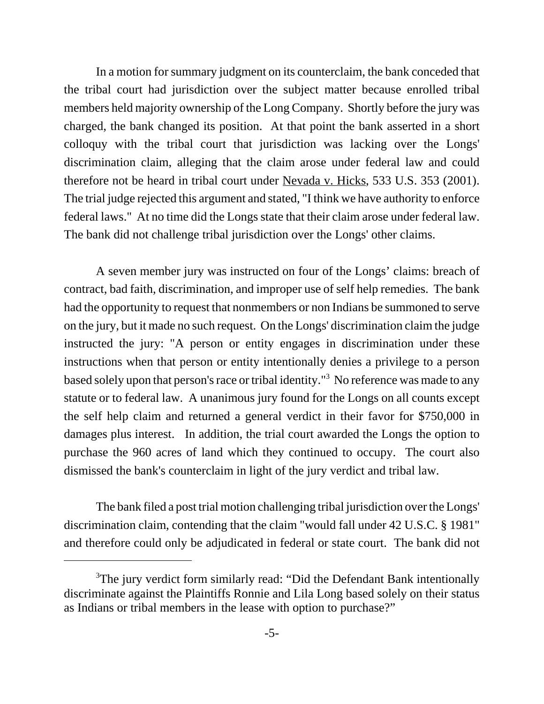In a motion for summary judgment on its counterclaim, the bank conceded that the tribal court had jurisdiction over the subject matter because enrolled tribal members held majority ownership of the Long Company. Shortly before the jury was charged, the bank changed its position. At that point the bank asserted in a short colloquy with the tribal court that jurisdiction was lacking over the Longs' discrimination claim, alleging that the claim arose under federal law and could therefore not be heard in tribal court under Nevada v. Hicks, 533 U.S. 353 (2001). The trial judge rejected this argument and stated, "I think we have authority to enforce federal laws." At no time did the Longs state that their claim arose under federal law. The bank did not challenge tribal jurisdiction over the Longs' other claims.

A seven member jury was instructed on four of the Longs' claims: breach of contract, bad faith, discrimination, and improper use of self help remedies. The bank had the opportunity to request that nonmembers or non Indians be summoned to serve on the jury, but it made no such request. On the Longs' discrimination claim the judge instructed the jury: "A person or entity engages in discrimination under these instructions when that person or entity intentionally denies a privilege to a person based solely upon that person's race or tribal identity."<sup>3</sup> No reference was made to any statute or to federal law. A unanimous jury found for the Longs on all counts except the self help claim and returned a general verdict in their favor for \$750,000 in damages plus interest. In addition, the trial court awarded the Longs the option to purchase the 960 acres of land which they continued to occupy. The court also dismissed the bank's counterclaim in light of the jury verdict and tribal law.

The bank filed a post trial motion challenging tribal jurisdiction over the Longs' discrimination claim, contending that the claim "would fall under 42 U.S.C. § 1981" and therefore could only be adjudicated in federal or state court. The bank did not

<sup>&</sup>lt;sup>3</sup>The jury verdict form similarly read: "Did the Defendant Bank intentionally discriminate against the Plaintiffs Ronnie and Lila Long based solely on their status as Indians or tribal members in the lease with option to purchase?"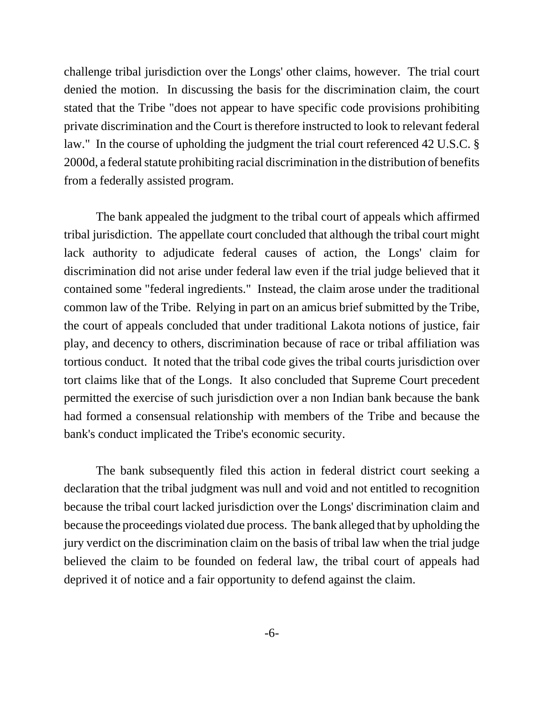challenge tribal jurisdiction over the Longs' other claims, however. The trial court denied the motion. In discussing the basis for the discrimination claim, the court stated that the Tribe "does not appear to have specific code provisions prohibiting private discrimination and the Court is therefore instructed to look to relevant federal law." In the course of upholding the judgment the trial court referenced 42 U.S.C. § 2000d, a federal statute prohibiting racial discrimination in the distribution of benefits from a federally assisted program.

The bank appealed the judgment to the tribal court of appeals which affirmed tribal jurisdiction. The appellate court concluded that although the tribal court might lack authority to adjudicate federal causes of action, the Longs' claim for discrimination did not arise under federal law even if the trial judge believed that it contained some "federal ingredients." Instead, the claim arose under the traditional common law of the Tribe. Relying in part on an amicus brief submitted by the Tribe, the court of appeals concluded that under traditional Lakota notions of justice, fair play, and decency to others, discrimination because of race or tribal affiliation was tortious conduct. It noted that the tribal code gives the tribal courts jurisdiction over tort claims like that of the Longs. It also concluded that Supreme Court precedent permitted the exercise of such jurisdiction over a non Indian bank because the bank had formed a consensual relationship with members of the Tribe and because the bank's conduct implicated the Tribe's economic security.

The bank subsequently filed this action in federal district court seeking a declaration that the tribal judgment was null and void and not entitled to recognition because the tribal court lacked jurisdiction over the Longs' discrimination claim and because the proceedings violated due process. The bank alleged that by upholding the jury verdict on the discrimination claim on the basis of tribal law when the trial judge believed the claim to be founded on federal law, the tribal court of appeals had deprived it of notice and a fair opportunity to defend against the claim.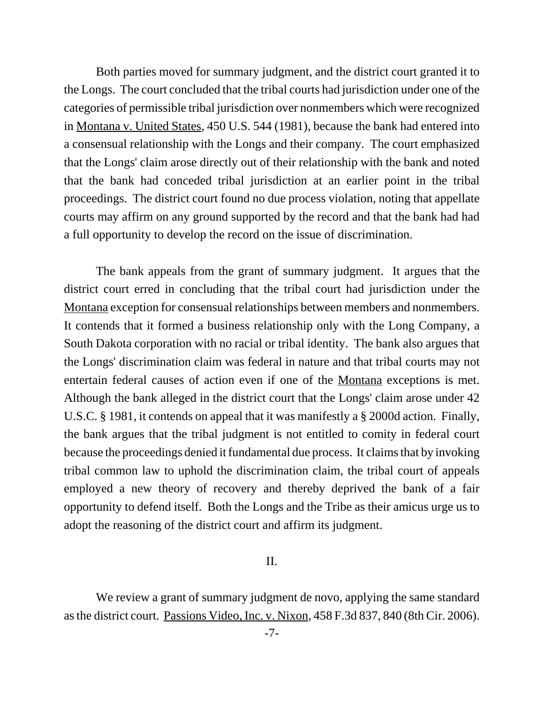Both parties moved for summary judgment, and the district court granted it to the Longs. The court concluded that the tribal courts had jurisdiction under one of the categories of permissible tribal jurisdiction over nonmembers which were recognized in Montana v. United States, 450 U.S. 544 (1981), because the bank had entered into a consensual relationship with the Longs and their company. The court emphasized that the Longs' claim arose directly out of their relationship with the bank and noted that the bank had conceded tribal jurisdiction at an earlier point in the tribal proceedings. The district court found no due process violation, noting that appellate courts may affirm on any ground supported by the record and that the bank had had a full opportunity to develop the record on the issue of discrimination.

The bank appeals from the grant of summary judgment. It argues that the district court erred in concluding that the tribal court had jurisdiction under the Montana exception for consensual relationships between members and nonmembers. It contends that it formed a business relationship only with the Long Company, a South Dakota corporation with no racial or tribal identity. The bank also argues that the Longs' discrimination claim was federal in nature and that tribal courts may not entertain federal causes of action even if one of the Montana exceptions is met. Although the bank alleged in the district court that the Longs' claim arose under 42 U.S.C. § 1981, it contends on appeal that it was manifestly a § 2000d action. Finally, the bank argues that the tribal judgment is not entitled to comity in federal court because the proceedings denied it fundamental due process. It claims that by invoking tribal common law to uphold the discrimination claim, the tribal court of appeals employed a new theory of recovery and thereby deprived the bank of a fair opportunity to defend itself. Both the Longs and the Tribe as their amicus urge us to adopt the reasoning of the district court and affirm its judgment.

### II.

We review a grant of summary judgment de novo, applying the same standard as the district court. Passions Video, Inc. v. Nixon, 458 F.3d 837, 840 (8th Cir. 2006).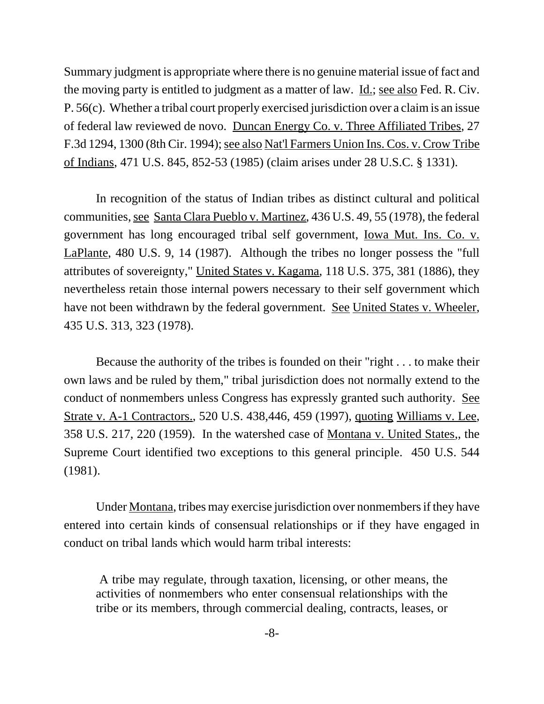Summary judgment is appropriate where there is no genuine material issue of fact and the moving party is entitled to judgment as a matter of law. Id.; see also Fed. R. Civ. P. 56(c). Whether a tribal court properly exercised jurisdiction over a claim is an issue of federal law reviewed de novo. Duncan Energy Co. v. Three Affiliated Tribes, 27 F.3d 1294, 1300 (8th Cir. 1994); see also Nat'l Farmers Union Ins. Cos. v. Crow Tribe of Indians, 471 U.S. 845, 852-53 (1985) (claim arises under 28 U.S.C. § 1331).

In recognition of the status of Indian tribes as distinct cultural and political communities, see Santa Clara Pueblo v. Martinez, 436 U.S. 49, 55 (1978), the federal government has long encouraged tribal self government, Iowa Mut. Ins. Co. v. LaPlante, 480 U.S. 9, 14 (1987). Although the tribes no longer possess the "full attributes of sovereignty," United States v. Kagama, 118 U.S. 375, 381 (1886), they nevertheless retain those internal powers necessary to their self government which have not been withdrawn by the federal government. See United States v. Wheeler, 435 U.S. 313, 323 (1978).

Because the authority of the tribes is founded on their "right . . . to make their own laws and be ruled by them," tribal jurisdiction does not normally extend to the conduct of nonmembers unless Congress has expressly granted such authority. See Strate v. A-1 Contractors., 520 U.S. 438,446, 459 (1997), quoting Williams v. Lee, 358 U.S. 217, 220 (1959). In the watershed case of Montana v. United States,, the Supreme Court identified two exceptions to this general principle. 450 U.S. 544 (1981).

Under Montana, tribes may exercise jurisdiction over nonmembers if they have entered into certain kinds of consensual relationships or if they have engaged in conduct on tribal lands which would harm tribal interests:

 A tribe may regulate, through taxation, licensing, or other means, the activities of nonmembers who enter consensual relationships with the tribe or its members, through commercial dealing, contracts, leases, or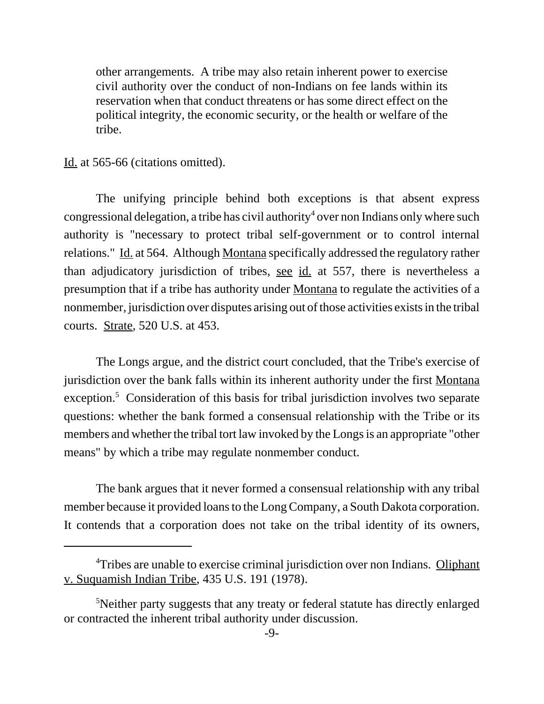other arrangements. A tribe may also retain inherent power to exercise civil authority over the conduct of non-Indians on fee lands within its reservation when that conduct threatens or has some direct effect on the political integrity, the economic security, or the health or welfare of the tribe.

#### Id. at 565-66 (citations omitted).

The unifying principle behind both exceptions is that absent express congressional delegation, a tribe has civil authority<sup>4</sup> over non Indians only where such authority is "necessary to protect tribal self-government or to control internal relations." Id. at 564. Although Montana specifically addressed the regulatory rather than adjudicatory jurisdiction of tribes, see id. at 557, there is nevertheless a presumption that if a tribe has authority under Montana to regulate the activities of a nonmember, jurisdiction over disputes arising out of those activities exists in the tribal courts. Strate, 520 U.S. at 453.

The Longs argue, and the district court concluded, that the Tribe's exercise of jurisdiction over the bank falls within its inherent authority under the first Montana exception.<sup>5</sup> Consideration of this basis for tribal jurisdiction involves two separate questions: whether the bank formed a consensual relationship with the Tribe or its members and whether the tribal tort law invoked by the Longs is an appropriate "other means" by which a tribe may regulate nonmember conduct.

The bank argues that it never formed a consensual relationship with any tribal member because it provided loans to the Long Company, a South Dakota corporation. It contends that a corporation does not take on the tribal identity of its owners,

<sup>&</sup>lt;sup>4</sup>Tribes are unable to exercise criminal jurisdiction over non Indians. Oliphant v. Suquamish Indian Tribe, 435 U.S. 191 (1978).

<sup>&</sup>lt;sup>5</sup>Neither party suggests that any treaty or federal statute has directly enlarged or contracted the inherent tribal authority under discussion.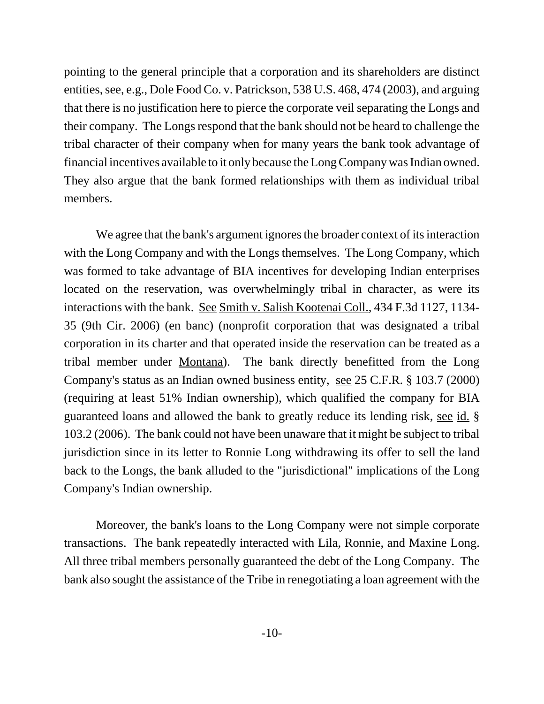pointing to the general principle that a corporation and its shareholders are distinct entities, see, e.g., Dole Food Co. v. Patrickson, 538 U.S. 468, 474 (2003), and arguing that there is no justification here to pierce the corporate veil separating the Longs and their company. The Longs respond that the bank should not be heard to challenge the tribal character of their company when for many years the bank took advantage of financial incentives available to it only because the Long Company was Indian owned. They also argue that the bank formed relationships with them as individual tribal members.

We agree that the bank's argument ignores the broader context of its interaction with the Long Company and with the Longs themselves. The Long Company, which was formed to take advantage of BIA incentives for developing Indian enterprises located on the reservation, was overwhelmingly tribal in character, as were its interactions with the bank. See Smith v. Salish Kootenai Coll., 434 F.3d 1127, 1134- 35 (9th Cir. 2006) (en banc) (nonprofit corporation that was designated a tribal corporation in its charter and that operated inside the reservation can be treated as a tribal member under Montana). The bank directly benefitted from the Long Company's status as an Indian owned business entity, see 25 C.F.R. § 103.7 (2000) (requiring at least 51% Indian ownership), which qualified the company for BIA guaranteed loans and allowed the bank to greatly reduce its lending risk, see id. § 103.2 (2006). The bank could not have been unaware that it might be subject to tribal jurisdiction since in its letter to Ronnie Long withdrawing its offer to sell the land back to the Longs, the bank alluded to the "jurisdictional" implications of the Long Company's Indian ownership.

Moreover, the bank's loans to the Long Company were not simple corporate transactions. The bank repeatedly interacted with Lila, Ronnie, and Maxine Long. All three tribal members personally guaranteed the debt of the Long Company. The bank also sought the assistance of the Tribe in renegotiating a loan agreement with the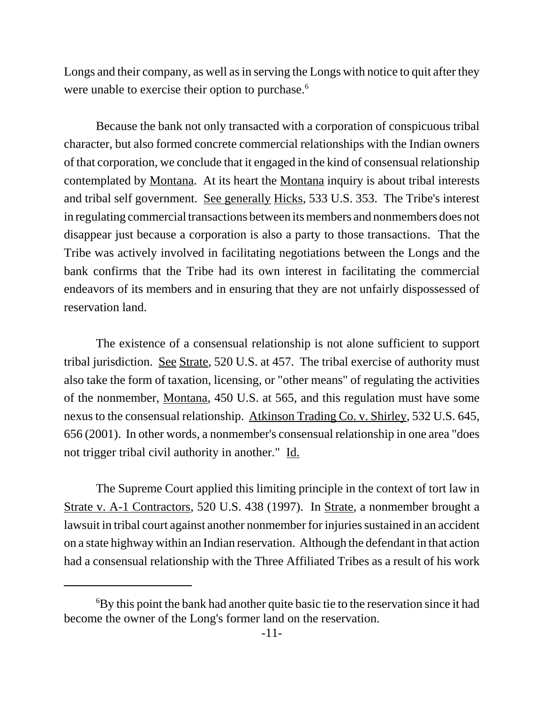Longs and their company, as well as in serving the Longs with notice to quit after they were unable to exercise their option to purchase.<sup>6</sup>

Because the bank not only transacted with a corporation of conspicuous tribal character, but also formed concrete commercial relationships with the Indian owners of that corporation, we conclude that it engaged in the kind of consensual relationship contemplated by Montana. At its heart the Montana inquiry is about tribal interests and tribal self government. See generally Hicks, 533 U.S. 353. The Tribe's interest in regulating commercial transactions between its members and nonmembers does not disappear just because a corporation is also a party to those transactions. That the Tribe was actively involved in facilitating negotiations between the Longs and the bank confirms that the Tribe had its own interest in facilitating the commercial endeavors of its members and in ensuring that they are not unfairly dispossessed of reservation land.

The existence of a consensual relationship is not alone sufficient to support tribal jurisdiction. See Strate, 520 U.S. at 457. The tribal exercise of authority must also take the form of taxation, licensing, or "other means" of regulating the activities of the nonmember, Montana, 450 U.S. at 565, and this regulation must have some nexus to the consensual relationship. Atkinson Trading Co. v. Shirley, 532 U.S. 645, 656 (2001). In other words, a nonmember's consensual relationship in one area "does not trigger tribal civil authority in another." Id.

The Supreme Court applied this limiting principle in the context of tort law in Strate v. A-1 Contractors, 520 U.S. 438 (1997). In Strate, a nonmember brought a lawsuit in tribal court against another nonmember for injuries sustained in an accident on a state highway within an Indian reservation. Although the defendant in that action had a consensual relationship with the Three Affiliated Tribes as a result of his work

<sup>&</sup>lt;sup>6</sup>By this point the bank had another quite basic tie to the reservation since it had become the owner of the Long's former land on the reservation.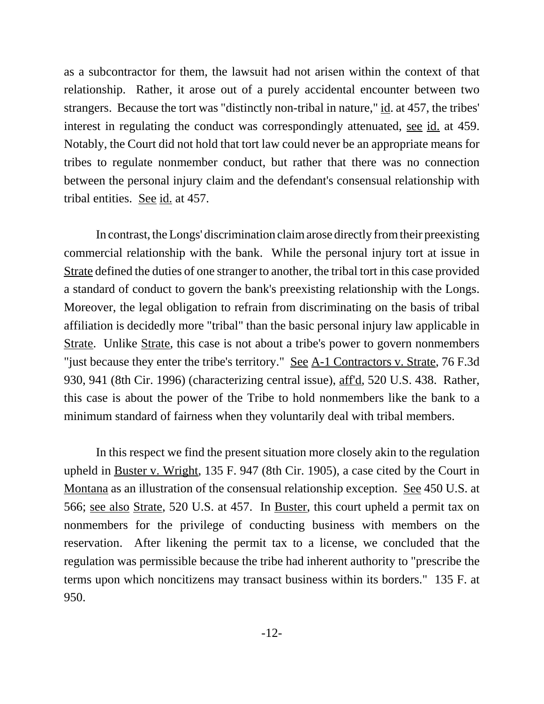as a subcontractor for them, the lawsuit had not arisen within the context of that relationship. Rather, it arose out of a purely accidental encounter between two strangers. Because the tort was "distinctly non-tribal in nature," id. at 457, the tribes' interest in regulating the conduct was correspondingly attenuated, see id. at 459. Notably, the Court did not hold that tort law could never be an appropriate means for tribes to regulate nonmember conduct, but rather that there was no connection between the personal injury claim and the defendant's consensual relationship with tribal entities. See id. at 457.

In contrast, the Longs' discrimination claim arose directly from their preexisting commercial relationship with the bank. While the personal injury tort at issue in Strate defined the duties of one stranger to another, the tribal tort in this case provided a standard of conduct to govern the bank's preexisting relationship with the Longs. Moreover, the legal obligation to refrain from discriminating on the basis of tribal affiliation is decidedly more "tribal" than the basic personal injury law applicable in Strate. Unlike Strate, this case is not about a tribe's power to govern nonmembers "just because they enter the tribe's territory." See A-1 Contractors v. Strate, 76 F.3d 930, 941 (8th Cir. 1996) (characterizing central issue), aff'd, 520 U.S. 438. Rather, this case is about the power of the Tribe to hold nonmembers like the bank to a minimum standard of fairness when they voluntarily deal with tribal members.

In this respect we find the present situation more closely akin to the regulation upheld in Buster v. Wright, 135 F. 947 (8th Cir. 1905), a case cited by the Court in Montana as an illustration of the consensual relationship exception. See 450 U.S. at 566; see also Strate, 520 U.S. at 457. In Buster, this court upheld a permit tax on nonmembers for the privilege of conducting business with members on the reservation. After likening the permit tax to a license, we concluded that the regulation was permissible because the tribe had inherent authority to "prescribe the terms upon which noncitizens may transact business within its borders." 135 F. at 950.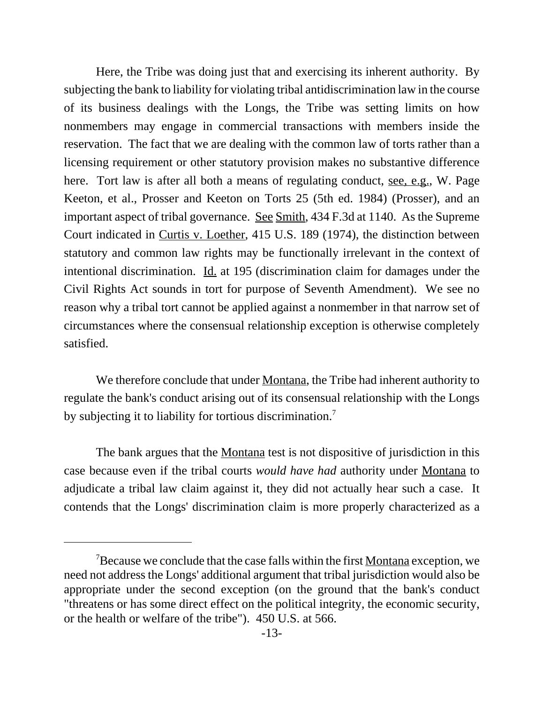Here, the Tribe was doing just that and exercising its inherent authority. By subjecting the bank to liability for violating tribal antidiscrimination law in the course of its business dealings with the Longs, the Tribe was setting limits on how nonmembers may engage in commercial transactions with members inside the reservation. The fact that we are dealing with the common law of torts rather than a licensing requirement or other statutory provision makes no substantive difference here. Tort law is after all both a means of regulating conduct, see, e.g., W. Page Keeton, et al., Prosser and Keeton on Torts 25 (5th ed. 1984) (Prosser), and an important aspect of tribal governance. See Smith, 434 F.3d at 1140. As the Supreme Court indicated in Curtis v. Loether, 415 U.S. 189 (1974), the distinction between statutory and common law rights may be functionally irrelevant in the context of intentional discrimination.  $\underline{Id}$  at 195 (discrimination claim for damages under the Civil Rights Act sounds in tort for purpose of Seventh Amendment). We see no reason why a tribal tort cannot be applied against a nonmember in that narrow set of circumstances where the consensual relationship exception is otherwise completely satisfied.

We therefore conclude that under Montana, the Tribe had inherent authority to regulate the bank's conduct arising out of its consensual relationship with the Longs by subjecting it to liability for tortious discrimination.<sup>7</sup>

The bank argues that the <u>Montana</u> test is not dispositive of jurisdiction in this case because even if the tribal courts *would have had* authority under Montana to adjudicate a tribal law claim against it, they did not actually hear such a case. It contends that the Longs' discrimination claim is more properly characterized as a

Because we conclude that the case falls within the first Montana exception, we need not address the Longs' additional argument that tribal jurisdiction would also be appropriate under the second exception (on the ground that the bank's conduct "threatens or has some direct effect on the political integrity, the economic security, or the health or welfare of the tribe"). 450 U.S. at 566.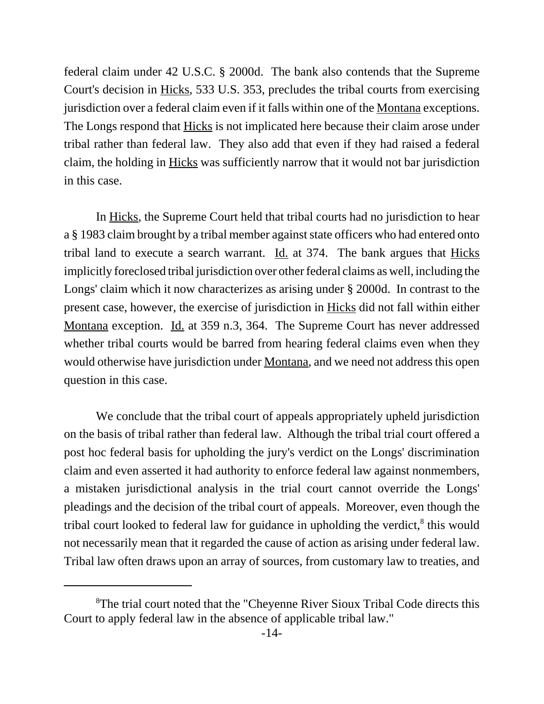federal claim under 42 U.S.C. § 2000d. The bank also contends that the Supreme Court's decision in Hicks, 533 U.S. 353, precludes the tribal courts from exercising jurisdiction over a federal claim even if it falls within one of the Montana exceptions. The Longs respond that Hicks is not implicated here because their claim arose under tribal rather than federal law. They also add that even if they had raised a federal claim, the holding in Hicks was sufficiently narrow that it would not bar jurisdiction in this case.

In Hicks, the Supreme Court held that tribal courts had no jurisdiction to hear a § 1983 claim brought by a tribal member against state officers who had entered onto tribal land to execute a search warrant.  $\underline{Id}$  at 374. The bank argues that  $\underline{Hicks}$ implicitly foreclosed tribal jurisdiction over other federal claims as well, including the Longs' claim which it now characterizes as arising under § 2000d. In contrast to the present case, however, the exercise of jurisdiction in Hicks did not fall within either Montana exception. Id. at 359 n.3, 364. The Supreme Court has never addressed whether tribal courts would be barred from hearing federal claims even when they would otherwise have jurisdiction under Montana, and we need not address this open question in this case.

We conclude that the tribal court of appeals appropriately upheld jurisdiction on the basis of tribal rather than federal law. Although the tribal trial court offered a post hoc federal basis for upholding the jury's verdict on the Longs' discrimination claim and even asserted it had authority to enforce federal law against nonmembers, a mistaken jurisdictional analysis in the trial court cannot override the Longs' pleadings and the decision of the tribal court of appeals. Moreover, even though the tribal court looked to federal law for guidance in upholding the verdict,<sup>8</sup> this would not necessarily mean that it regarded the cause of action as arising under federal law. Tribal law often draws upon an array of sources, from customary law to treaties, and

<sup>&</sup>lt;sup>8</sup>The trial court noted that the "Cheyenne River Sioux Tribal Code directs this Court to apply federal law in the absence of applicable tribal law."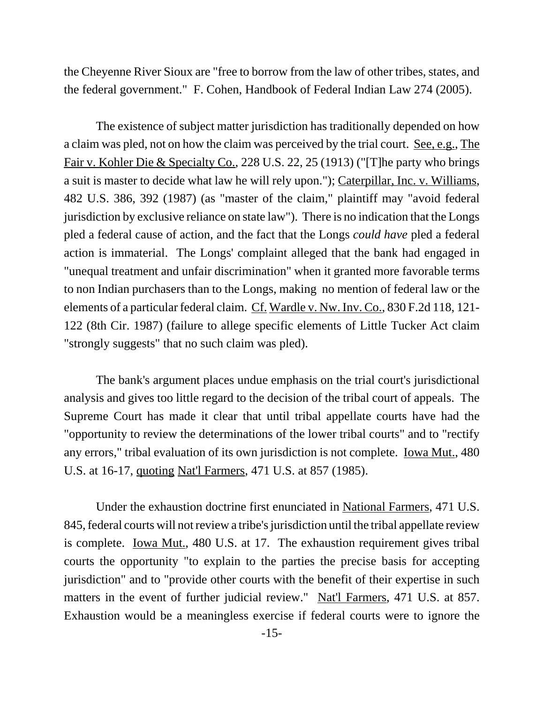the Cheyenne River Sioux are "free to borrow from the law of other tribes, states, and the federal government." F. Cohen, Handbook of Federal Indian Law 274 (2005).

The existence of subject matter jurisdiction has traditionally depended on how a claim was pled, not on how the claim was perceived by the trial court. See, e.g., The Fair v. Kohler Die & Specialty Co., 228 U.S. 22, 25 (1913) ("[T]he party who brings a suit is master to decide what law he will rely upon."); Caterpillar, Inc. v. Williams, 482 U.S. 386, 392 (1987) (as "master of the claim," plaintiff may "avoid federal jurisdiction by exclusive reliance on state law"). There is no indication that the Longs pled a federal cause of action, and the fact that the Longs *could have* pled a federal action is immaterial. The Longs' complaint alleged that the bank had engaged in "unequal treatment and unfair discrimination" when it granted more favorable terms to non Indian purchasers than to the Longs, making no mention of federal law or the elements of a particular federal claim. Cf. Wardle v. Nw. Inv. Co., 830 F.2d 118, 121- 122 (8th Cir. 1987) (failure to allege specific elements of Little Tucker Act claim "strongly suggests" that no such claim was pled).

The bank's argument places undue emphasis on the trial court's jurisdictional analysis and gives too little regard to the decision of the tribal court of appeals. The Supreme Court has made it clear that until tribal appellate courts have had the "opportunity to review the determinations of the lower tribal courts" and to "rectify any errors," tribal evaluation of its own jurisdiction is not complete. <u>Iowa Mut.</u>, 480 U.S. at 16-17, quoting Nat'l Farmers, 471 U.S. at 857 (1985).

Under the exhaustion doctrine first enunciated in National Farmers, 471 U.S. 845, federal courts will not review a tribe's jurisdiction until the tribal appellate review is complete. Iowa Mut., 480 U.S. at 17. The exhaustion requirement gives tribal courts the opportunity "to explain to the parties the precise basis for accepting jurisdiction" and to "provide other courts with the benefit of their expertise in such matters in the event of further judicial review." Nat'l Farmers, 471 U.S. at 857. Exhaustion would be a meaningless exercise if federal courts were to ignore the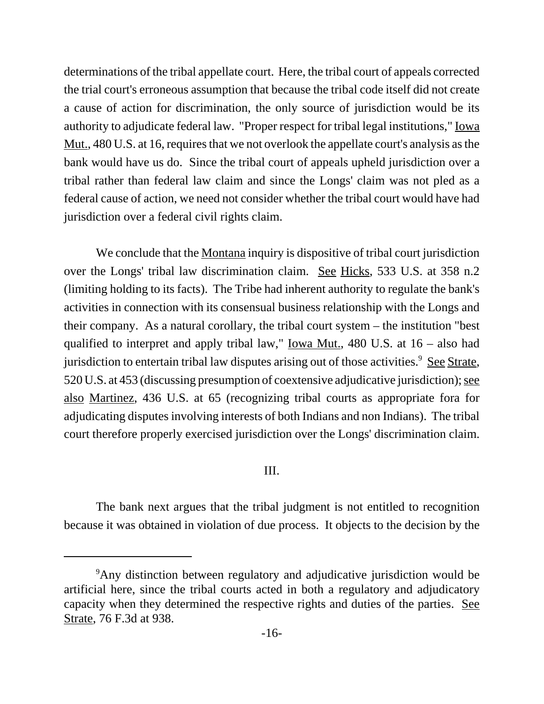determinations of the tribal appellate court. Here, the tribal court of appeals corrected the trial court's erroneous assumption that because the tribal code itself did not create a cause of action for discrimination, the only source of jurisdiction would be its authority to adjudicate federal law. "Proper respect for tribal legal institutions," Iowa Mut<sub>ri</sub>, 480 U.S. at 16, requires that we not overlook the appellate court's analysis as the bank would have us do. Since the tribal court of appeals upheld jurisdiction over a tribal rather than federal law claim and since the Longs' claim was not pled as a federal cause of action, we need not consider whether the tribal court would have had jurisdiction over a federal civil rights claim.

We conclude that the <u>Montana</u> inquiry is dispositive of tribal court jurisdiction over the Longs' tribal law discrimination claim. See Hicks, 533 U.S. at 358 n.2 (limiting holding to its facts). The Tribe had inherent authority to regulate the bank's activities in connection with its consensual business relationship with the Longs and their company. As a natural corollary, the tribal court system – the institution "best qualified to interpret and apply tribal law," Iowa Mut., 480 U.S. at 16 – also had jurisdiction to entertain tribal law disputes arising out of those activities.<sup>9</sup> See Strate, 520 U.S. at 453 (discussing presumption of coextensive adjudicative jurisdiction); see also Martinez, 436 U.S. at 65 (recognizing tribal courts as appropriate fora for adjudicating disputes involving interests of both Indians and non Indians). The tribal court therefore properly exercised jurisdiction over the Longs' discrimination claim.

## III.

The bank next argues that the tribal judgment is not entitled to recognition because it was obtained in violation of due process. It objects to the decision by the

<sup>&</sup>lt;sup>9</sup>Any distinction between regulatory and adjudicative jurisdiction would be artificial here, since the tribal courts acted in both a regulatory and adjudicatory capacity when they determined the respective rights and duties of the parties. See Strate, 76 F.3d at 938.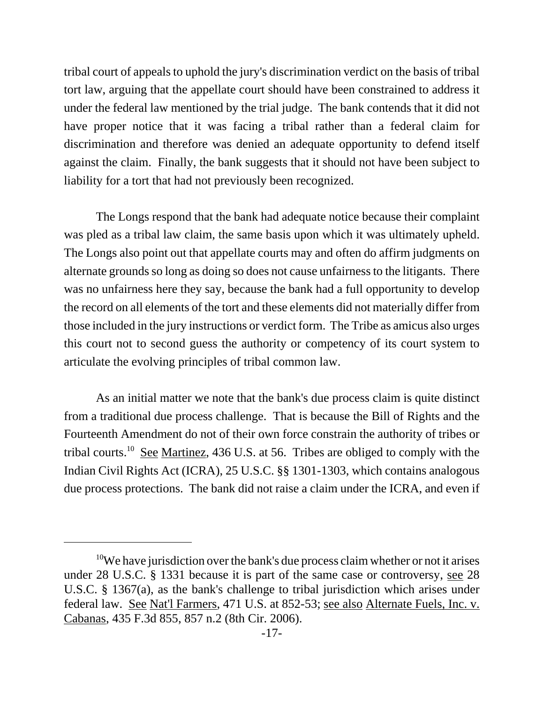tribal court of appeals to uphold the jury's discrimination verdict on the basis of tribal tort law, arguing that the appellate court should have been constrained to address it under the federal law mentioned by the trial judge. The bank contends that it did not have proper notice that it was facing a tribal rather than a federal claim for discrimination and therefore was denied an adequate opportunity to defend itself against the claim. Finally, the bank suggests that it should not have been subject to liability for a tort that had not previously been recognized.

The Longs respond that the bank had adequate notice because their complaint was pled as a tribal law claim, the same basis upon which it was ultimately upheld. The Longs also point out that appellate courts may and often do affirm judgments on alternate grounds so long as doing so does not cause unfairness to the litigants. There was no unfairness here they say, because the bank had a full opportunity to develop the record on all elements of the tort and these elements did not materially differ from those included in the jury instructions or verdict form. The Tribe as amicus also urges this court not to second guess the authority or competency of its court system to articulate the evolving principles of tribal common law.

As an initial matter we note that the bank's due process claim is quite distinct from a traditional due process challenge. That is because the Bill of Rights and the Fourteenth Amendment do not of their own force constrain the authority of tribes or tribal courts.<sup>10</sup> See Martinez, 436 U.S. at 56. Tribes are obliged to comply with the Indian Civil Rights Act (ICRA), 25 U.S.C. §§ 1301-1303, which contains analogous due process protections. The bank did not raise a claim under the ICRA, and even if

 $10$ We have jurisdiction over the bank's due process claim whether or not it arises under 28 U.S.C. § 1331 because it is part of the same case or controversy, see 28 U.S.C. § 1367(a), as the bank's challenge to tribal jurisdiction which arises under federal law. See Nat'l Farmers, 471 U.S. at 852-53; see also Alternate Fuels, Inc. v. Cabanas, 435 F.3d 855, 857 n.2 (8th Cir. 2006).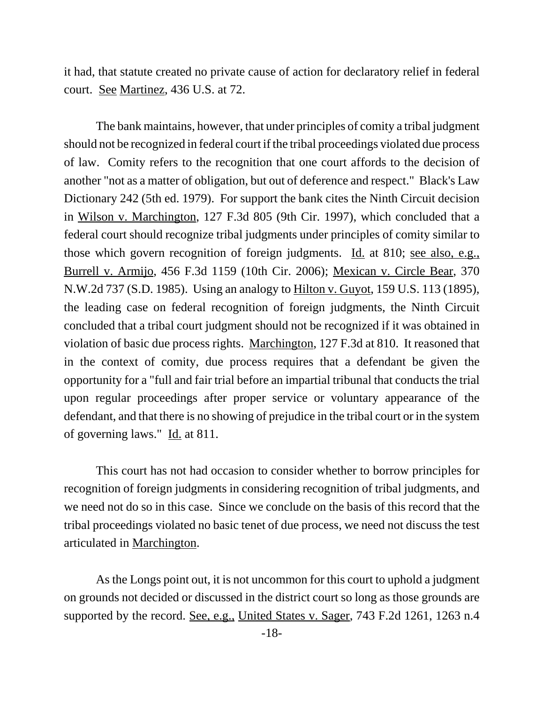it had, that statute created no private cause of action for declaratory relief in federal court. See Martinez, 436 U.S. at 72.

The bank maintains, however, that under principles of comity a tribal judgment should not be recognized in federal court if the tribal proceedings violated due process of law. Comity refers to the recognition that one court affords to the decision of another "not as a matter of obligation, but out of deference and respect." Black's Law Dictionary 242 (5th ed. 1979). For support the bank cites the Ninth Circuit decision in Wilson v. Marchington, 127 F.3d 805 (9th Cir. 1997), which concluded that a federal court should recognize tribal judgments under principles of comity similar to those which govern recognition of foreign judgments. Id. at 810; see also, e.g., Burrell v. Armijo, 456 F.3d 1159 (10th Cir. 2006); Mexican v. Circle Bear, 370 N.W.2d 737 (S.D. 1985). Using an analogy to Hilton v. Guyot, 159 U.S. 113 (1895), the leading case on federal recognition of foreign judgments, the Ninth Circuit concluded that a tribal court judgment should not be recognized if it was obtained in violation of basic due process rights. Marchington, 127 F.3d at 810. It reasoned that in the context of comity, due process requires that a defendant be given the opportunity for a "full and fair trial before an impartial tribunal that conducts the trial upon regular proceedings after proper service or voluntary appearance of the defendant, and that there is no showing of prejudice in the tribal court or in the system of governing laws." Id. at 811.

This court has not had occasion to consider whether to borrow principles for recognition of foreign judgments in considering recognition of tribal judgments, and we need not do so in this case. Since we conclude on the basis of this record that the tribal proceedings violated no basic tenet of due process, we need not discuss the test articulated in Marchington.

As the Longs point out, it is not uncommon for this court to uphold a judgment on grounds not decided or discussed in the district court so long as those grounds are supported by the record. See, e.g., United States v. Sager, 743 F.2d 1261, 1263 n.4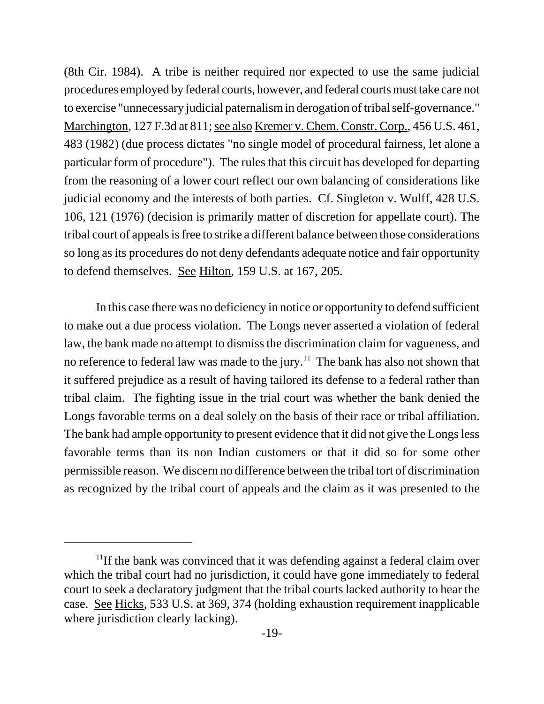(8th Cir. 1984). A tribe is neither required nor expected to use the same judicial procedures employed by federal courts, however, and federal courts must take care not to exercise "unnecessary judicial paternalism in derogation of tribal self-governance." Marchington, 127 F.3d at 811; see also Kremer v. Chem. Constr. Corp., 456 U.S. 461, 483 (1982) (due process dictates "no single model of procedural fairness, let alone a particular form of procedure"). The rules that this circuit has developed for departing from the reasoning of a lower court reflect our own balancing of considerations like judicial economy and the interests of both parties. Cf. Singleton v. Wulff, 428 U.S. 106, 121 (1976) (decision is primarily matter of discretion for appellate court). The tribal court of appeals is free to strike a different balance between those considerations so long as its procedures do not deny defendants adequate notice and fair opportunity to defend themselves. See Hilton, 159 U.S. at 167, 205.

In this case there was no deficiency in notice or opportunity to defend sufficient to make out a due process violation. The Longs never asserted a violation of federal law, the bank made no attempt to dismiss the discrimination claim for vagueness, and no reference to federal law was made to the jury.<sup>11</sup> The bank has also not shown that it suffered prejudice as a result of having tailored its defense to a federal rather than tribal claim. The fighting issue in the trial court was whether the bank denied the Longs favorable terms on a deal solely on the basis of their race or tribal affiliation. The bank had ample opportunity to present evidence that it did not give the Longs less favorable terms than its non Indian customers or that it did so for some other permissible reason. We discern no difference between the tribal tort of discrimination as recognized by the tribal court of appeals and the claim as it was presented to the

 $11$ If the bank was convinced that it was defending against a federal claim over which the tribal court had no jurisdiction, it could have gone immediately to federal court to seek a declaratory judgment that the tribal courts lacked authority to hear the case. See Hicks, 533 U.S. at 369, 374 (holding exhaustion requirement inapplicable where jurisdiction clearly lacking).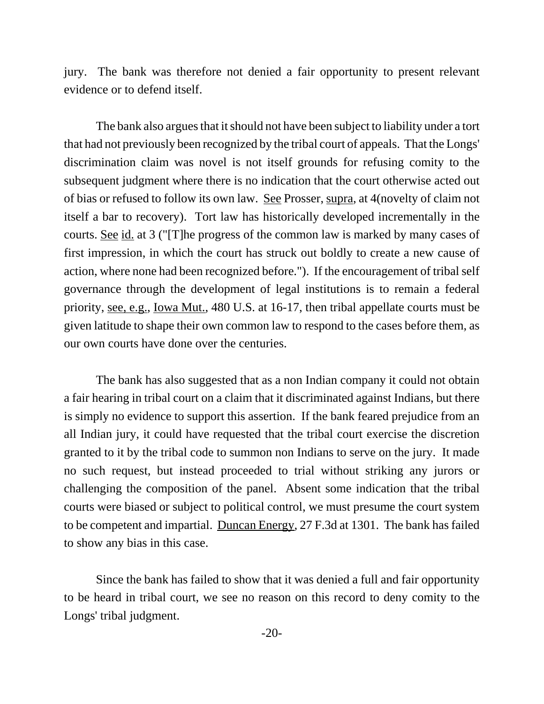jury. The bank was therefore not denied a fair opportunity to present relevant evidence or to defend itself.

The bank also argues that it should not have been subject to liability under a tort that had not previously been recognized by the tribal court of appeals. That the Longs' discrimination claim was novel is not itself grounds for refusing comity to the subsequent judgment where there is no indication that the court otherwise acted out of bias or refused to follow its own law. See Prosser, supra, at 4(novelty of claim not itself a bar to recovery). Tort law has historically developed incrementally in the courts. See id. at 3 ("[T]he progress of the common law is marked by many cases of first impression, in which the court has struck out boldly to create a new cause of action, where none had been recognized before."). If the encouragement of tribal self governance through the development of legal institutions is to remain a federal priority, see, e.g., Iowa Mut., 480 U.S. at 16-17, then tribal appellate courts must be given latitude to shape their own common law to respond to the cases before them, as our own courts have done over the centuries.

The bank has also suggested that as a non Indian company it could not obtain a fair hearing in tribal court on a claim that it discriminated against Indians, but there is simply no evidence to support this assertion. If the bank feared prejudice from an all Indian jury, it could have requested that the tribal court exercise the discretion granted to it by the tribal code to summon non Indians to serve on the jury. It made no such request, but instead proceeded to trial without striking any jurors or challenging the composition of the panel. Absent some indication that the tribal courts were biased or subject to political control, we must presume the court system to be competent and impartial. Duncan Energy, 27 F.3d at 1301. The bank has failed to show any bias in this case.

Since the bank has failed to show that it was denied a full and fair opportunity to be heard in tribal court, we see no reason on this record to deny comity to the Longs' tribal judgment.